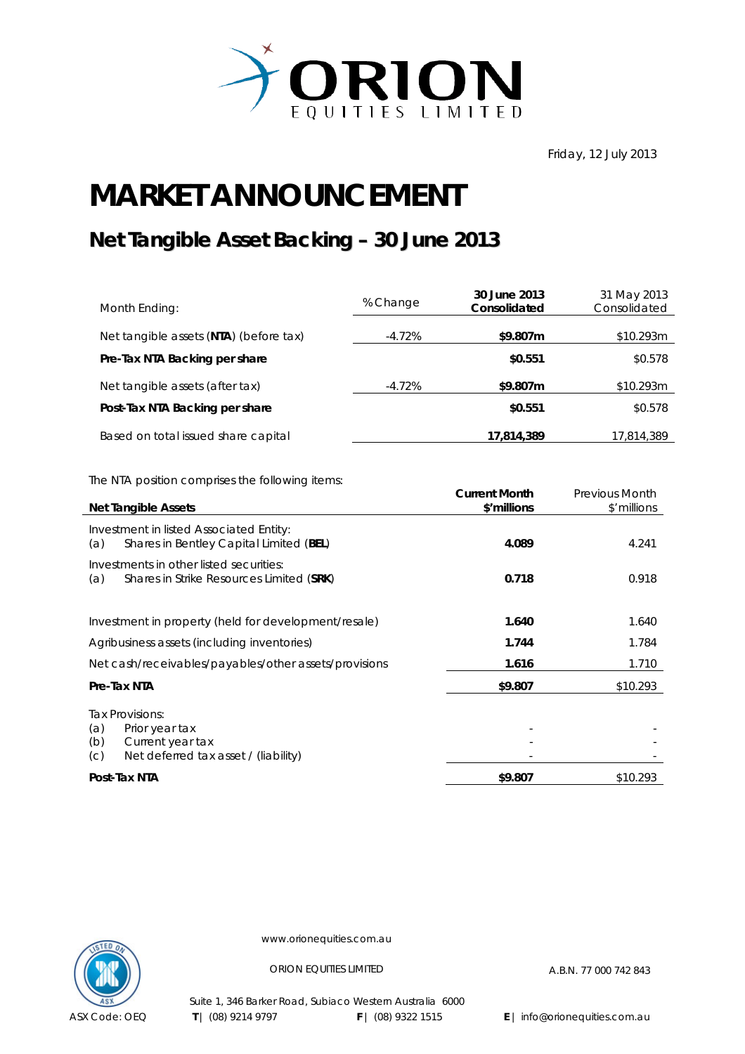

Friday, 12 July 2013

## **MARKET ANNOUNCEMENT**

## **Net Tangible Asset Backing – 30 June 2013**

| Month Ending:                          | % Change | 30 June 2013<br>Consolidated | 31 May 2013<br>Consolidated |
|----------------------------------------|----------|------------------------------|-----------------------------|
| Net tangible assets (NTA) (before tax) | -4.72%   | \$9.807m                     | \$10.293m                   |
| Pre-Tax NTA Backing per share          |          | \$0.551                      | \$0.578                     |
| Net tangible assets (after tax)        | -4.72%   | \$9.807m                     | \$10.293m                   |
| Post-Tax NTA Backing per share         |          | \$0.551                      | \$0.578                     |
| Based on total issued share capital    |          | 17,814,389                   | 17,814,389                  |

The NTA position comprises the following items:

| <b>Net Tangible Assets</b>                                                                                         | <b>Current Month</b><br>\$'millions | <b>Previous Month</b><br>\$'millions |
|--------------------------------------------------------------------------------------------------------------------|-------------------------------------|--------------------------------------|
| Investment in listed Associated Entity:<br>Shares in Bentley Capital Limited (BEL)<br>(a)                          | 4.089                               | 4.241                                |
| Investments in other listed securities:<br>Shares in Strike Resources Limited (SRK)<br>(a)                         | 0.718                               | 0.918                                |
| Investment in property (held for development/resale)                                                               | 1.640                               | 1.640                                |
| Agribusiness assets (including inventories)                                                                        | 1.744                               | 1.784                                |
| Net cash/receivables/payables/other assets/provisions                                                              | 1.616                               | 1.710                                |
| Pre-Tax NTA                                                                                                        | \$9.807                             | \$10.293                             |
| Tax Provisions:<br>(a)<br>Prior year tax<br>(b)<br>Current year tax<br>Net deferred tax asset / (liability)<br>(C) |                                     |                                      |
| Post-Tax NTA                                                                                                       | \$9.807                             | \$10.293                             |



www.orionequities.com.au

ORION EQUITIES LIMITED A.B.N. 77 000 742 843

Suite 1, 346 Barker Road, Subiaco Western Australia 6000  **T** | (08) 9214 9797 **F** | (08) 9322 1515 **E** | info@orionequities.com.au